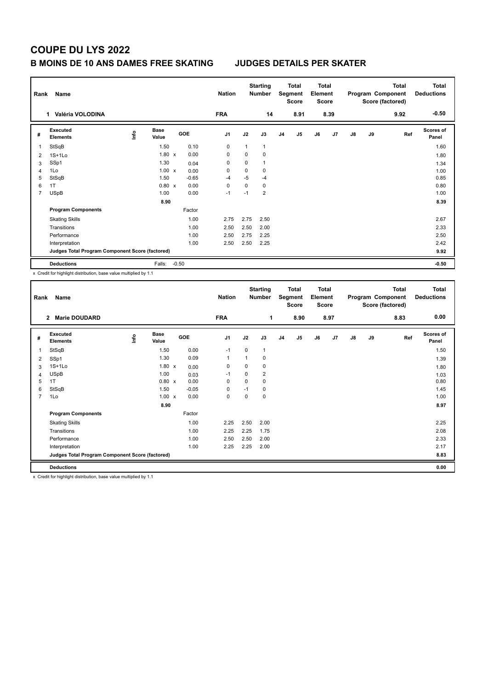## **B MOINS DE 10 ANS DAMES FREE SKATING JUDGES DETAILS PER SKATER**

| Rank           | Name<br>Valéria VOLODINA<br>1                   |      |                      |         |            | <b>Nation</b><br><b>FRA</b> |              | <b>Starting</b><br><b>Number</b><br>14 |                | <b>Total</b><br>Segment<br><b>Score</b><br>8.91 | <b>Total</b><br>Element<br><b>Score</b> | 8.39 |               |    | <b>Total</b><br>Program Component<br>Score (factored)<br>9.92 | <b>Total</b><br><b>Deductions</b><br>$-0.50$ |
|----------------|-------------------------------------------------|------|----------------------|---------|------------|-----------------------------|--------------|----------------------------------------|----------------|-------------------------------------------------|-----------------------------------------|------|---------------|----|---------------------------------------------------------------|----------------------------------------------|
| #              | Executed<br><b>Elements</b>                     | ١nf٥ | <b>Base</b><br>Value |         | <b>GOE</b> | J <sub>1</sub>              | J2           | J3                                     | J <sub>4</sub> | J <sub>5</sub>                                  | J6                                      | J7   | $\mathsf{J}8$ | J9 | Ref                                                           | Scores of<br>Panel                           |
| -1             | StSqB                                           |      | 1.50                 |         | 0.10       | $\mathbf 0$                 | $\mathbf{1}$ | $\mathbf{1}$                           |                |                                                 |                                         |      |               |    |                                                               | 1.60                                         |
| $\overline{2}$ | $1S+1Lo$                                        |      | $1.80 \times$        |         | 0.00       | 0                           | 0            | $\mathbf 0$                            |                |                                                 |                                         |      |               |    |                                                               | 1.80                                         |
| 3              | SSp1                                            |      | 1.30                 |         | 0.04       | 0                           | 0            | $\mathbf{1}$                           |                |                                                 |                                         |      |               |    |                                                               | 1.34                                         |
| 4              | 1Lo                                             |      | $1.00 \times$        |         | 0.00       | 0                           | 0            | 0                                      |                |                                                 |                                         |      |               |    |                                                               | 1.00                                         |
| 5              | StSqB                                           |      | 1.50                 |         | $-0.65$    | $-4$                        | $-5$         | $-4$                                   |                |                                                 |                                         |      |               |    |                                                               | 0.85                                         |
| 6              | 1T                                              |      | $0.80 \times$        |         | 0.00       | 0                           | 0            | 0                                      |                |                                                 |                                         |      |               |    |                                                               | 0.80                                         |
| $\overline{7}$ | <b>USpB</b>                                     |      | 1.00                 |         | 0.00       | $-1$                        | $-1$         | $\overline{2}$                         |                |                                                 |                                         |      |               |    |                                                               | 1.00                                         |
|                |                                                 |      | 8.90                 |         |            |                             |              |                                        |                |                                                 |                                         |      |               |    |                                                               | 8.39                                         |
|                | <b>Program Components</b>                       |      |                      |         | Factor     |                             |              |                                        |                |                                                 |                                         |      |               |    |                                                               |                                              |
|                | <b>Skating Skills</b>                           |      |                      |         | 1.00       | 2.75                        | 2.75         | 2.50                                   |                |                                                 |                                         |      |               |    |                                                               | 2.67                                         |
|                | Transitions                                     |      |                      |         | 1.00       | 2.50                        | 2.50         | 2.00                                   |                |                                                 |                                         |      |               |    |                                                               | 2.33                                         |
|                | Performance                                     |      |                      |         | 1.00       | 2.50                        | 2.75         | 2.25                                   |                |                                                 |                                         |      |               |    |                                                               | 2.50                                         |
|                | Interpretation                                  |      |                      |         | 1.00       | 2.50                        | 2.50         | 2.25                                   |                |                                                 |                                         |      |               |    |                                                               | 2.42                                         |
|                | Judges Total Program Component Score (factored) |      |                      |         |            |                             |              |                                        |                |                                                 |                                         |      |               |    |                                                               | 9.92                                         |
|                | <b>Deductions</b>                               |      | Falls:               | $-0.50$ |            |                             |              |                                        |                |                                                 |                                         |      |               |    |                                                               | $-0.50$                                      |

x Credit for highlight distribution, base value multiplied by 1.1

| Rank           | Name                                            |   |                      |            | <b>Nation</b>  |             | <b>Starting</b><br>Number |                | Total<br>Segment<br>Score | <b>Total</b><br>Element<br><b>Score</b> |      |               |    | Total<br>Program Component<br>Score (factored) | <b>Total</b><br><b>Deductions</b> |
|----------------|-------------------------------------------------|---|----------------------|------------|----------------|-------------|---------------------------|----------------|---------------------------|-----------------------------------------|------|---------------|----|------------------------------------------------|-----------------------------------|
|                | <b>Marie DOUDARD</b><br>$\overline{2}$          |   |                      |            | <b>FRA</b>     |             | 1                         |                | 8.90                      |                                         | 8.97 |               |    | 8.83                                           | 0.00                              |
| #              | Executed<br><b>Elements</b>                     | ۴ | <b>Base</b><br>Value | <b>GOE</b> | J <sub>1</sub> | J2          | J3                        | J <sub>4</sub> | J5                        | J6                                      | J7   | $\mathsf{J}8$ | J9 | Ref                                            | Scores of<br>Panel                |
| 1              | StSqB                                           |   | 1.50                 | 0.00       | $-1$           | $\mathbf 0$ | $\mathbf{1}$              |                |                           |                                         |      |               |    |                                                | 1.50                              |
| 2              | SSp1                                            |   | 1.30                 | 0.09       | 1              | 1           | 0                         |                |                           |                                         |      |               |    |                                                | 1.39                              |
| 3              | $1S+1Lo$                                        |   | $1.80 \times$        | 0.00       | 0              | 0           | 0                         |                |                           |                                         |      |               |    |                                                | 1.80                              |
| 4              | <b>USpB</b>                                     |   | 1.00                 | 0.03       | $-1$           | 0           | 2                         |                |                           |                                         |      |               |    |                                                | 1.03                              |
| 5              | 1T                                              |   | 0.80 x               | 0.00       | $\Omega$       | $\Omega$    | 0                         |                |                           |                                         |      |               |    |                                                | 0.80                              |
| 6              | StSqB                                           |   | 1.50                 | $-0.05$    | 0              | $-1$        | 0                         |                |                           |                                         |      |               |    |                                                | 1.45                              |
| $\overline{7}$ | 1Lo                                             |   | $1.00 \times$        | 0.00       | $\mathbf 0$    | $\Omega$    | 0                         |                |                           |                                         |      |               |    |                                                | 1.00                              |
|                |                                                 |   | 8.90                 |            |                |             |                           |                |                           |                                         |      |               |    |                                                | 8.97                              |
|                | <b>Program Components</b>                       |   |                      | Factor     |                |             |                           |                |                           |                                         |      |               |    |                                                |                                   |
|                | <b>Skating Skills</b>                           |   |                      | 1.00       | 2.25           | 2.50        | 2.00                      |                |                           |                                         |      |               |    |                                                | 2.25                              |
|                | Transitions                                     |   |                      | 1.00       | 2.25           | 2.25        | 1.75                      |                |                           |                                         |      |               |    |                                                | 2.08                              |
|                | Performance                                     |   |                      | 1.00       | 2.50           | 2.50        | 2.00                      |                |                           |                                         |      |               |    |                                                | 2.33                              |
|                | Interpretation                                  |   |                      | 1.00       | 2.25           | 2.25        | 2.00                      |                |                           |                                         |      |               |    |                                                | 2.17                              |
|                | Judges Total Program Component Score (factored) |   |                      |            |                |             |                           |                |                           |                                         |      |               |    |                                                | 8.83                              |
|                | <b>Deductions</b>                               |   |                      |            |                |             |                           |                |                           |                                         |      |               |    |                                                | 0.00                              |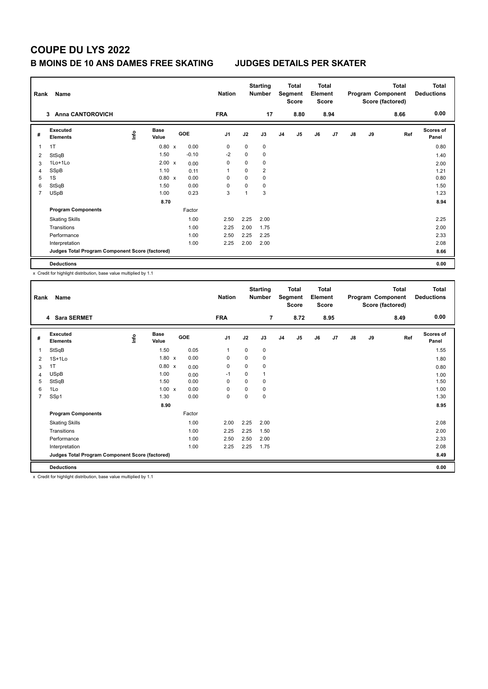## **B MOINS DE 10 ANS DAMES FREE SKATING JUDGES DETAILS PER SKATER**

| Rank           | Name                                            |      |                      |            | <b>Nation</b>  |          | <b>Starting</b><br><b>Number</b> |                | <b>Total</b><br>Segment<br><b>Score</b> | <b>Total</b><br>Element<br><b>Score</b> |      |               |    | <b>Total</b><br>Program Component<br>Score (factored) | <b>Total</b><br><b>Deductions</b> |
|----------------|-------------------------------------------------|------|----------------------|------------|----------------|----------|----------------------------------|----------------|-----------------------------------------|-----------------------------------------|------|---------------|----|-------------------------------------------------------|-----------------------------------|
|                | <b>Anna CANTOROVICH</b><br>3                    |      |                      |            | <b>FRA</b>     |          | 17                               |                | 8.80                                    |                                         | 8.94 |               |    | 8.66                                                  | 0.00                              |
| #              | Executed<br><b>Elements</b>                     | lnfo | <b>Base</b><br>Value | <b>GOE</b> | J <sub>1</sub> | J2       | J3                               | J <sub>4</sub> | J <sub>5</sub>                          | J6                                      | J7   | $\mathsf{J}8$ | J9 | Ref                                                   | Scores of<br>Panel                |
|                | 1T                                              |      | $0.80 \times$        | 0.00       | 0              | 0        | $\mathbf 0$                      |                |                                         |                                         |      |               |    |                                                       | 0.80                              |
| 2              | StSqB                                           |      | 1.50                 | $-0.10$    | $-2$           | 0        | $\mathbf 0$                      |                |                                         |                                         |      |               |    |                                                       | 1.40                              |
| 3              | 1Lo+1Lo                                         |      | $2.00 \times$        | 0.00       | 0              | 0        | 0                                |                |                                         |                                         |      |               |    |                                                       | 2.00                              |
| 4              | SSpB                                            |      | 1.10                 | 0.11       | 1              | 0        | $\overline{2}$                   |                |                                         |                                         |      |               |    |                                                       | 1.21                              |
| 5              | 1S                                              |      | $0.80 \times$        | 0.00       | 0              | 0        | 0                                |                |                                         |                                         |      |               |    |                                                       | 0.80                              |
| 6              | StSqB                                           |      | 1.50                 | 0.00       | 0              | $\Omega$ | $\mathbf 0$                      |                |                                         |                                         |      |               |    |                                                       | 1.50                              |
| $\overline{7}$ | <b>USpB</b>                                     |      | 1.00                 | 0.23       | 3              | 1        | 3                                |                |                                         |                                         |      |               |    |                                                       | 1.23                              |
|                |                                                 |      | 8.70                 |            |                |          |                                  |                |                                         |                                         |      |               |    |                                                       | 8.94                              |
|                | <b>Program Components</b>                       |      |                      | Factor     |                |          |                                  |                |                                         |                                         |      |               |    |                                                       |                                   |
|                | <b>Skating Skills</b>                           |      |                      | 1.00       | 2.50           | 2.25     | 2.00                             |                |                                         |                                         |      |               |    |                                                       | 2.25                              |
|                | Transitions                                     |      |                      | 1.00       | 2.25           | 2.00     | 1.75                             |                |                                         |                                         |      |               |    |                                                       | 2.00                              |
|                | Performance                                     |      |                      | 1.00       | 2.50           | 2.25     | 2.25                             |                |                                         |                                         |      |               |    |                                                       | 2.33                              |
|                | Interpretation                                  |      |                      | 1.00       | 2.25           | 2.00     | 2.00                             |                |                                         |                                         |      |               |    |                                                       | 2.08                              |
|                | Judges Total Program Component Score (factored) |      |                      |            |                |          |                                  |                |                                         |                                         |      |               |    |                                                       | 8.66                              |
|                | <b>Deductions</b>                               |      |                      |            |                |          |                                  |                |                                         |                                         |      |               |    |                                                       | 0.00                              |

x Credit for highlight distribution, base value multiplied by 1.1

| Rank           | Name                                            |   |                      |        | <b>Nation</b>  |          | <b>Starting</b><br>Number |                | <b>Total</b><br>Segment<br>Score | <b>Total</b><br>Element<br><b>Score</b> |      |               |    | Total<br>Program Component<br>Score (factored) | <b>Total</b><br><b>Deductions</b> |
|----------------|-------------------------------------------------|---|----------------------|--------|----------------|----------|---------------------------|----------------|----------------------------------|-----------------------------------------|------|---------------|----|------------------------------------------------|-----------------------------------|
|                | 4 Sara SERMET                                   |   |                      |        | <b>FRA</b>     |          | $\overline{7}$            |                | 8.72                             |                                         | 8.95 |               |    | 8.49                                           | 0.00                              |
| #              | Executed<br><b>Elements</b>                     | ۴ | <b>Base</b><br>Value | GOE    | J <sub>1</sub> | J2       | J3                        | J <sub>4</sub> | J <sub>5</sub>                   | J6                                      | J7   | $\mathsf{J}8$ | J9 | Ref                                            | <b>Scores of</b><br>Panel         |
| 1              | StSqB                                           |   | 1.50                 | 0.05   | 1              | 0        | 0                         |                |                                  |                                         |      |               |    |                                                | 1.55                              |
| 2              | $1S+1Lo$                                        |   | $1.80 \times$        | 0.00   | $\mathbf 0$    | 0        | 0                         |                |                                  |                                         |      |               |    |                                                | 1.80                              |
| 3              | 1T                                              |   | 0.80 x               | 0.00   | $\mathbf 0$    | 0        | 0                         |                |                                  |                                         |      |               |    |                                                | 0.80                              |
| 4              | <b>USpB</b>                                     |   | 1.00                 | 0.00   | $-1$           | 0        | 1                         |                |                                  |                                         |      |               |    |                                                | 1.00                              |
| 5              | StSqB                                           |   | 1.50                 | 0.00   | $\mathbf 0$    | 0        | 0                         |                |                                  |                                         |      |               |    |                                                | 1.50                              |
| 6              | 1Lo                                             |   | $1.00 \times$        | 0.00   | $\Omega$       | $\Omega$ | 0                         |                |                                  |                                         |      |               |    |                                                | 1.00                              |
| $\overline{7}$ | SSp1                                            |   | 1.30                 | 0.00   | $\mathbf 0$    | $\Omega$ | 0                         |                |                                  |                                         |      |               |    |                                                | 1.30                              |
|                |                                                 |   | 8.90                 |        |                |          |                           |                |                                  |                                         |      |               |    |                                                | 8.95                              |
|                | <b>Program Components</b>                       |   |                      | Factor |                |          |                           |                |                                  |                                         |      |               |    |                                                |                                   |
|                | <b>Skating Skills</b>                           |   |                      | 1.00   | 2.00           | 2.25     | 2.00                      |                |                                  |                                         |      |               |    |                                                | 2.08                              |
|                | Transitions                                     |   |                      | 1.00   | 2.25           | 2.25     | 1.50                      |                |                                  |                                         |      |               |    |                                                | 2.00                              |
|                | Performance                                     |   |                      | 1.00   | 2.50           | 2.50     | 2.00                      |                |                                  |                                         |      |               |    |                                                | 2.33                              |
|                | Interpretation                                  |   |                      | 1.00   | 2.25           | 2.25     | 1.75                      |                |                                  |                                         |      |               |    |                                                | 2.08                              |
|                | Judges Total Program Component Score (factored) |   |                      |        |                |          |                           |                |                                  |                                         |      |               |    |                                                | 8.49                              |
|                | <b>Deductions</b>                               |   |                      |        |                |          |                           |                |                                  |                                         |      |               |    |                                                | 0.00                              |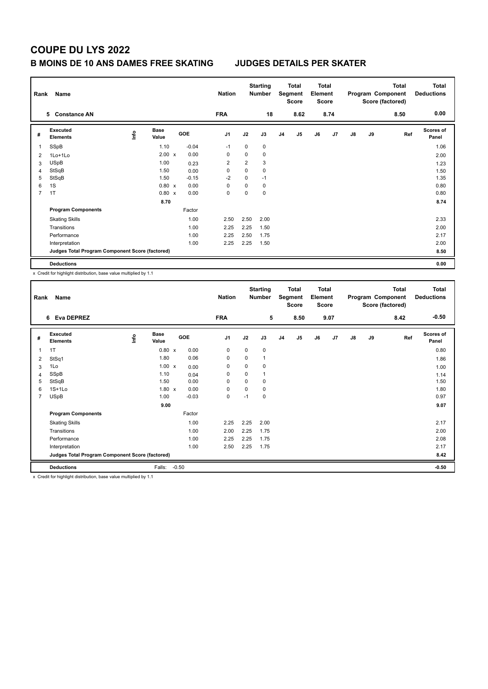## **B MOINS DE 10 ANS DAMES FREE SKATING JUDGES DETAILS PER SKATER**

| Rank           | Name                                            |      |                      |            | <b>Nation</b>  |      | <b>Starting</b><br><b>Number</b> |                | Total<br>Segment<br><b>Score</b> | <b>Total</b><br>Element<br><b>Score</b> |      |               |    | <b>Total</b><br>Program Component<br>Score (factored) | <b>Total</b><br><b>Deductions</b> |
|----------------|-------------------------------------------------|------|----------------------|------------|----------------|------|----------------------------------|----------------|----------------------------------|-----------------------------------------|------|---------------|----|-------------------------------------------------------|-----------------------------------|
|                | <b>Constance AN</b><br>5.                       |      |                      |            | <b>FRA</b>     |      | 18                               |                | 8.62                             |                                         | 8.74 |               |    | 8.50                                                  | 0.00                              |
| #              | Executed<br><b>Elements</b>                     | lnfo | <b>Base</b><br>Value | <b>GOE</b> | J <sub>1</sub> | J2   | J3                               | J <sub>4</sub> | J <sub>5</sub>                   | J6                                      | J7   | $\mathsf{J}8$ | J9 | Ref                                                   | <b>Scores of</b><br>Panel         |
|                | SSpB                                            |      | 1.10                 | $-0.04$    | $-1$           | 0    | 0                                |                |                                  |                                         |      |               |    |                                                       | 1.06                              |
| $\overline{2}$ | 1Lo+1Lo                                         |      | $2.00 \times$        | 0.00       | 0              | 0    | $\mathbf 0$                      |                |                                  |                                         |      |               |    |                                                       | 2.00                              |
| 3              | <b>USpB</b>                                     |      | 1.00                 | 0.23       | 2              | 2    | 3                                |                |                                  |                                         |      |               |    |                                                       | 1.23                              |
| 4              | StSqB                                           |      | 1.50                 | 0.00       | 0              | 0    | 0                                |                |                                  |                                         |      |               |    |                                                       | 1.50                              |
| 5              | StSqB                                           |      | 1.50                 | $-0.15$    | $-2$           | 0    | $-1$                             |                |                                  |                                         |      |               |    |                                                       | 1.35                              |
| 6              | 1S                                              |      | $0.80 \times$        | 0.00       | 0              | 0    | 0                                |                |                                  |                                         |      |               |    |                                                       | 0.80                              |
| $\overline{7}$ | 1T                                              |      | $0.80 \times$        | 0.00       | 0              | 0    | 0                                |                |                                  |                                         |      |               |    |                                                       | 0.80                              |
|                |                                                 |      | 8.70                 |            |                |      |                                  |                |                                  |                                         |      |               |    |                                                       | 8.74                              |
|                | <b>Program Components</b>                       |      |                      | Factor     |                |      |                                  |                |                                  |                                         |      |               |    |                                                       |                                   |
|                | <b>Skating Skills</b>                           |      |                      | 1.00       | 2.50           | 2.50 | 2.00                             |                |                                  |                                         |      |               |    |                                                       | 2.33                              |
|                | Transitions                                     |      |                      | 1.00       | 2.25           | 2.25 | 1.50                             |                |                                  |                                         |      |               |    |                                                       | 2.00                              |
|                | Performance                                     |      |                      | 1.00       | 2.25           | 2.50 | 1.75                             |                |                                  |                                         |      |               |    |                                                       | 2.17                              |
|                | Interpretation                                  |      |                      | 1.00       | 2.25           | 2.25 | 1.50                             |                |                                  |                                         |      |               |    |                                                       | 2.00                              |
|                | Judges Total Program Component Score (factored) |      |                      |            |                |      |                                  |                |                                  |                                         |      |               |    |                                                       | 8.50                              |
|                | <b>Deductions</b>                               |      |                      |            |                |      |                                  |                |                                  |                                         |      |               |    |                                                       | 0.00                              |

x Credit for highlight distribution, base value multiplied by 1.1

| Rank           | Name                                            |   |                      |         |         | <b>Nation</b>  |             | <b>Starting</b><br>Number |                | <b>Total</b><br>Segment<br>Score | <b>Total</b><br>Element<br><b>Score</b> |      |               |    | Total<br>Program Component<br>Score (factored) | <b>Total</b><br><b>Deductions</b> |
|----------------|-------------------------------------------------|---|----------------------|---------|---------|----------------|-------------|---------------------------|----------------|----------------------------------|-----------------------------------------|------|---------------|----|------------------------------------------------|-----------------------------------|
|                | 6 Eva DEPREZ                                    |   |                      |         |         | <b>FRA</b>     |             | 5                         |                | 8.50                             |                                         | 9.07 |               |    | 8.42                                           | $-0.50$                           |
| #              | Executed<br><b>Elements</b>                     | ۴ | <b>Base</b><br>Value |         | GOE     | J <sub>1</sub> | J2          | J3                        | J <sub>4</sub> | J <sub>5</sub>                   | J6                                      | J7   | $\mathsf{J}8$ | J9 | Ref                                            | <b>Scores of</b><br>Panel         |
| 1              | 1T                                              |   | 0.80 x               |         | 0.00    | 0              | $\mathbf 0$ | 0                         |                |                                  |                                         |      |               |    |                                                | 0.80                              |
| 2              | StSq1                                           |   | 1.80                 |         | 0.06    | 0              | 0           |                           |                |                                  |                                         |      |               |    |                                                | 1.86                              |
| 3              | 1Lo                                             |   | $1.00 \times$        |         | 0.00    | $\mathbf 0$    | 0           | 0                         |                |                                  |                                         |      |               |    |                                                | 1.00                              |
| 4              | SSpB                                            |   | 1.10                 |         | 0.04    | $\mathbf 0$    | 0           | 1                         |                |                                  |                                         |      |               |    |                                                | 1.14                              |
| 5              | StSqB                                           |   | 1.50                 |         | 0.00    | $\Omega$       | 0           | 0                         |                |                                  |                                         |      |               |    |                                                | 1.50                              |
| 6              | $1S+1Lo$                                        |   | $1.80 \times$        |         | 0.00    | $\mathbf 0$    | 0           | 0                         |                |                                  |                                         |      |               |    |                                                | 1.80                              |
| $\overline{7}$ | <b>USpB</b>                                     |   | 1.00                 |         | $-0.03$ | $\mathbf 0$    | $-1$        | 0                         |                |                                  |                                         |      |               |    |                                                | 0.97                              |
|                |                                                 |   | 9.00                 |         |         |                |             |                           |                |                                  |                                         |      |               |    |                                                | 9.07                              |
|                | <b>Program Components</b>                       |   |                      |         | Factor  |                |             |                           |                |                                  |                                         |      |               |    |                                                |                                   |
|                | <b>Skating Skills</b>                           |   |                      |         | 1.00    | 2.25           | 2.25        | 2.00                      |                |                                  |                                         |      |               |    |                                                | 2.17                              |
|                | Transitions                                     |   |                      |         | 1.00    | 2.00           | 2.25        | 1.75                      |                |                                  |                                         |      |               |    |                                                | 2.00                              |
|                | Performance                                     |   |                      |         | 1.00    | 2.25           | 2.25        | 1.75                      |                |                                  |                                         |      |               |    |                                                | 2.08                              |
|                | Interpretation                                  |   |                      |         | 1.00    | 2.50           | 2.25        | 1.75                      |                |                                  |                                         |      |               |    |                                                | 2.17                              |
|                | Judges Total Program Component Score (factored) |   |                      |         |         |                |             |                           |                |                                  |                                         |      |               |    |                                                | 8.42                              |
|                | <b>Deductions</b>                               |   | Falls:               | $-0.50$ |         |                |             |                           |                |                                  |                                         |      |               |    |                                                | $-0.50$                           |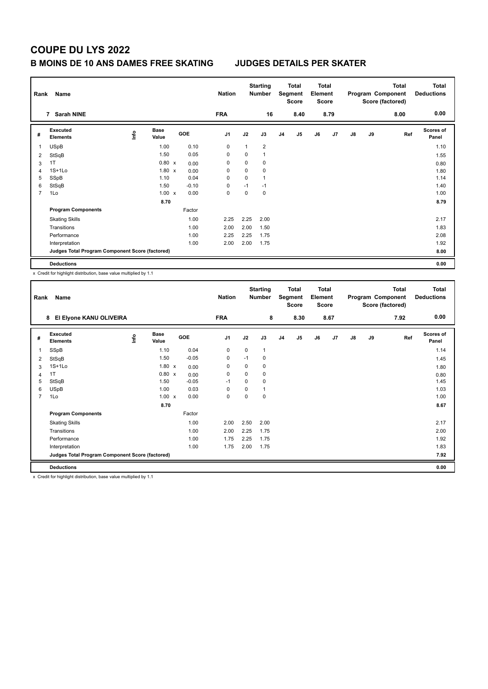## **B MOINS DE 10 ANS DAMES FREE SKATING JUDGES DETAILS PER SKATER**

| Rank | Name                                            |      |                      |            | <b>Nation</b>  |      | <b>Starting</b><br><b>Number</b> |                | <b>Total</b><br>Segment<br><b>Score</b> | <b>Total</b><br>Element<br><b>Score</b> |      |               |    | <b>Total</b><br>Program Component<br>Score (factored) | <b>Total</b><br><b>Deductions</b> |
|------|-------------------------------------------------|------|----------------------|------------|----------------|------|----------------------------------|----------------|-----------------------------------------|-----------------------------------------|------|---------------|----|-------------------------------------------------------|-----------------------------------|
|      | <b>Sarah NINE</b><br>$\overline{7}$             |      |                      |            | <b>FRA</b>     |      | 16                               |                | 8.40                                    |                                         | 8.79 |               |    | 8.00                                                  | 0.00                              |
| #    | Executed<br><b>Elements</b>                     | ١nf٥ | <b>Base</b><br>Value | <b>GOE</b> | J <sub>1</sub> | J2   | J3                               | J <sub>4</sub> | J <sub>5</sub>                          | J6                                      | J7   | $\mathsf{J}8$ | J9 | Ref                                                   | <b>Scores of</b><br>Panel         |
| 1    | <b>USpB</b>                                     |      | 1.00                 | 0.10       | $\mathbf 0$    | 1    | $\overline{2}$                   |                |                                         |                                         |      |               |    |                                                       | 1.10                              |
| 2    | StSqB                                           |      | 1.50                 | 0.05       | 0              | 0    | $\mathbf{1}$                     |                |                                         |                                         |      |               |    |                                                       | 1.55                              |
| 3    | 1T                                              |      | $0.80 \times$        | 0.00       | 0              | 0    | 0                                |                |                                         |                                         |      |               |    |                                                       | 0.80                              |
| 4    | $1S+1Lo$                                        |      | $1.80 \times$        | 0.00       | 0              | 0    | 0                                |                |                                         |                                         |      |               |    |                                                       | 1.80                              |
| 5    | SSpB                                            |      | 1.10                 | 0.04       | 0              | 0    | $\mathbf{1}$                     |                |                                         |                                         |      |               |    |                                                       | 1.14                              |
| 6    | StSqB                                           |      | 1.50                 | $-0.10$    | 0              | $-1$ | $-1$                             |                |                                         |                                         |      |               |    |                                                       | 1.40                              |
| 7    | 1Lo                                             |      | $1.00 \times$        | 0.00       | 0              | 0    | 0                                |                |                                         |                                         |      |               |    |                                                       | 1.00                              |
|      |                                                 |      | 8.70                 |            |                |      |                                  |                |                                         |                                         |      |               |    |                                                       | 8.79                              |
|      | <b>Program Components</b>                       |      |                      | Factor     |                |      |                                  |                |                                         |                                         |      |               |    |                                                       |                                   |
|      | <b>Skating Skills</b>                           |      |                      | 1.00       | 2.25           | 2.25 | 2.00                             |                |                                         |                                         |      |               |    |                                                       | 2.17                              |
|      | Transitions                                     |      |                      | 1.00       | 2.00           | 2.00 | 1.50                             |                |                                         |                                         |      |               |    |                                                       | 1.83                              |
|      | Performance                                     |      |                      | 1.00       | 2.25           | 2.25 | 1.75                             |                |                                         |                                         |      |               |    |                                                       | 2.08                              |
|      | Interpretation                                  |      |                      | 1.00       | 2.00           | 2.00 | 1.75                             |                |                                         |                                         |      |               |    |                                                       | 1.92                              |
|      | Judges Total Program Component Score (factored) |      |                      |            |                |      |                                  |                |                                         |                                         |      |               |    |                                                       | 8.00                              |
|      | <b>Deductions</b>                               |      |                      |            |                |      |                                  |                |                                         |                                         |      |               |    |                                                       | 0.00                              |

x Credit for highlight distribution, base value multiplied by 1.1

| Rank           | Name                                            |   |                      |         | <b>Nation</b>  |      | <b>Starting</b><br>Number |                | <b>Total</b><br>Segment<br><b>Score</b> | <b>Total</b><br>Element<br><b>Score</b> |      |               |    | <b>Total</b><br>Program Component<br>Score (factored) | Total<br><b>Deductions</b> |
|----------------|-------------------------------------------------|---|----------------------|---------|----------------|------|---------------------------|----------------|-----------------------------------------|-----------------------------------------|------|---------------|----|-------------------------------------------------------|----------------------------|
|                | El Elyone KANU OLIVEIRA<br>8                    |   |                      |         | <b>FRA</b>     |      | 8                         |                | 8.30                                    |                                         | 8.67 |               |    | 7.92                                                  | 0.00                       |
| #              | Executed<br><b>Elements</b>                     | ۴ | <b>Base</b><br>Value | GOE     | J <sub>1</sub> | J2   | J3                        | J <sub>4</sub> | J5                                      | J6                                      | J7   | $\mathsf{J}8$ | J9 | Ref                                                   | Scores of<br>Panel         |
| 1              | SSpB                                            |   | 1.10                 | 0.04    | 0              | 0    | $\mathbf 1$               |                |                                         |                                         |      |               |    |                                                       | 1.14                       |
| 2              | StSqB                                           |   | 1.50                 | $-0.05$ | 0              | $-1$ | 0                         |                |                                         |                                         |      |               |    |                                                       | 1.45                       |
| 3              | $1S+1Lo$                                        |   | $1.80 \times$        | 0.00    | 0              | 0    | 0                         |                |                                         |                                         |      |               |    |                                                       | 1.80                       |
| 4              | 1T                                              |   | 0.80 x               | 0.00    | 0              | 0    | 0                         |                |                                         |                                         |      |               |    |                                                       | 0.80                       |
| 5              | StSqB                                           |   | 1.50                 | $-0.05$ | $-1$           | 0    | 0                         |                |                                         |                                         |      |               |    |                                                       | 1.45                       |
| 6              | <b>USpB</b>                                     |   | 1.00                 | 0.03    | $\Omega$       | 0    |                           |                |                                         |                                         |      |               |    |                                                       | 1.03                       |
| $\overline{7}$ | 1Lo                                             |   | $1.00 \times$        | 0.00    | 0              | 0    | 0                         |                |                                         |                                         |      |               |    |                                                       | 1.00                       |
|                |                                                 |   | 8.70                 |         |                |      |                           |                |                                         |                                         |      |               |    |                                                       | 8.67                       |
|                | <b>Program Components</b>                       |   |                      | Factor  |                |      |                           |                |                                         |                                         |      |               |    |                                                       |                            |
|                | <b>Skating Skills</b>                           |   |                      | 1.00    | 2.00           | 2.50 | 2.00                      |                |                                         |                                         |      |               |    |                                                       | 2.17                       |
|                | Transitions                                     |   |                      | 1.00    | 2.00           | 2.25 | 1.75                      |                |                                         |                                         |      |               |    |                                                       | 2.00                       |
|                | Performance                                     |   |                      | 1.00    | 1.75           | 2.25 | 1.75                      |                |                                         |                                         |      |               |    |                                                       | 1.92                       |
|                | Interpretation                                  |   |                      | 1.00    | 1.75           | 2.00 | 1.75                      |                |                                         |                                         |      |               |    |                                                       | 1.83                       |
|                | Judges Total Program Component Score (factored) |   |                      |         |                |      |                           |                |                                         |                                         |      |               |    |                                                       | 7.92                       |
|                | <b>Deductions</b>                               |   |                      |         |                |      |                           |                |                                         |                                         |      |               |    |                                                       | 0.00                       |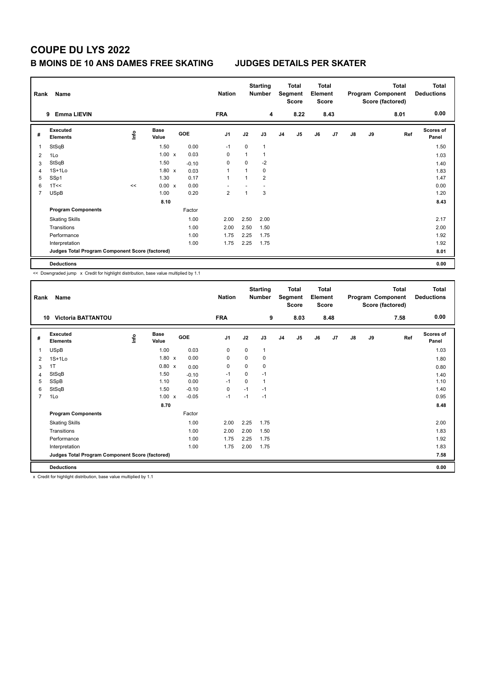## **B MOINS DE 10 ANS DAMES FREE SKATING JUDGES DETAILS PER SKATER**

| Rank | Name                                            |      |                      |         | <b>Nation</b>  |                | <b>Starting</b><br><b>Number</b> |                | <b>Total</b><br>Segment<br>Score | <b>Total</b><br>Element<br><b>Score</b> |      |               |    | <b>Total</b><br>Program Component<br>Score (factored) | <b>Total</b><br><b>Deductions</b> |
|------|-------------------------------------------------|------|----------------------|---------|----------------|----------------|----------------------------------|----------------|----------------------------------|-----------------------------------------|------|---------------|----|-------------------------------------------------------|-----------------------------------|
|      | <b>Emma LIEVIN</b><br>9                         |      |                      |         | <b>FRA</b>     |                | 4                                |                | 8.22                             |                                         | 8.43 |               |    | 8.01                                                  | 0.00                              |
| #    | Executed<br><b>Elements</b>                     | ١nf٥ | <b>Base</b><br>Value | GOE     | J <sub>1</sub> | J2             | J3                               | J <sub>4</sub> | J <sub>5</sub>                   | J6                                      | J7   | $\mathsf{J}8$ | J9 | Ref                                                   | <b>Scores of</b><br>Panel         |
| 1    | StSqB                                           |      | 1.50                 | 0.00    | $-1$           | 0              | $\mathbf{1}$                     |                |                                  |                                         |      |               |    |                                                       | 1.50                              |
| 2    | 1Lo                                             |      | $1.00 \times$        | 0.03    | 0              | 1              | $\mathbf{1}$                     |                |                                  |                                         |      |               |    |                                                       | 1.03                              |
| 3    | StSqB                                           |      | 1.50                 | $-0.10$ | 0              | 0              | $-2$                             |                |                                  |                                         |      |               |    |                                                       | 1.40                              |
| 4    | $1S+1Lo$                                        |      | $1.80 \times$        | 0.03    | 1              | $\overline{1}$ | 0                                |                |                                  |                                         |      |               |    |                                                       | 1.83                              |
| 5    | SSp1                                            |      | 1.30                 | 0.17    | $\mathbf{1}$   | $\overline{1}$ | $\overline{2}$                   |                |                                  |                                         |      |               |    |                                                       | 1.47                              |
| 6    | 1T<<                                            | <<   | $0.00 \times$        | 0.00    |                |                |                                  |                |                                  |                                         |      |               |    |                                                       | 0.00                              |
| 7    | <b>USpB</b>                                     |      | 1.00                 | 0.20    | $\overline{2}$ | 1              | 3                                |                |                                  |                                         |      |               |    |                                                       | 1.20                              |
|      |                                                 |      | 8.10                 |         |                |                |                                  |                |                                  |                                         |      |               |    |                                                       | 8.43                              |
|      | <b>Program Components</b>                       |      |                      | Factor  |                |                |                                  |                |                                  |                                         |      |               |    |                                                       |                                   |
|      | <b>Skating Skills</b>                           |      |                      | 1.00    | 2.00           | 2.50           | 2.00                             |                |                                  |                                         |      |               |    |                                                       | 2.17                              |
|      | Transitions                                     |      |                      | 1.00    | 2.00           | 2.50           | 1.50                             |                |                                  |                                         |      |               |    |                                                       | 2.00                              |
|      | Performance                                     |      |                      | 1.00    | 1.75           | 2.25           | 1.75                             |                |                                  |                                         |      |               |    |                                                       | 1.92                              |
|      | Interpretation                                  |      |                      | 1.00    | 1.75           | 2.25           | 1.75                             |                |                                  |                                         |      |               |    |                                                       | 1.92                              |
|      | Judges Total Program Component Score (factored) |      |                      |         |                |                |                                  |                |                                  |                                         |      |               |    |                                                       | 8.01                              |
|      | <b>Deductions</b>                               |      |                      |         |                |                |                                  |                |                                  |                                         |      |               |    |                                                       | 0.00                              |

<< Downgraded jump x Credit for highlight distribution, base value multiplied by 1.1

| Rank           | Name                                            |   |                      |         | <b>Nation</b>  |          | <b>Starting</b><br>Number |                | <b>Total</b><br>Segment<br><b>Score</b> | <b>Total</b><br>Element<br><b>Score</b> |      |               |    | <b>Total</b><br>Program Component<br>Score (factored) | Total<br><b>Deductions</b> |
|----------------|-------------------------------------------------|---|----------------------|---------|----------------|----------|---------------------------|----------------|-----------------------------------------|-----------------------------------------|------|---------------|----|-------------------------------------------------------|----------------------------|
| 10             | <b>Victoria BATTANTOU</b>                       |   |                      |         | <b>FRA</b>     |          | 9                         |                | 8.03                                    |                                         | 8.48 |               |    | 7.58                                                  | 0.00                       |
| #              | Executed<br><b>Elements</b>                     | ۴ | <b>Base</b><br>Value | GOE     | J <sub>1</sub> | J2       | J3                        | J <sub>4</sub> | J5                                      | J6                                      | J7   | $\mathsf{J}8$ | J9 | Ref                                                   | Scores of<br>Panel         |
| 1              | <b>USpB</b>                                     |   | 1.00                 | 0.03    | 0              | 0        |                           |                |                                         |                                         |      |               |    |                                                       | 1.03                       |
| 2              | $1S+1Lo$                                        |   | $1.80 \times$        | 0.00    | 0              | $\Omega$ | 0                         |                |                                         |                                         |      |               |    |                                                       | 1.80                       |
| 3              | 1T                                              |   | 0.80 x               | 0.00    | $\mathbf 0$    | 0        | 0                         |                |                                         |                                         |      |               |    |                                                       | 0.80                       |
| 4              | StSqB                                           |   | 1.50                 | $-0.10$ | $-1$           | 0        | $-1$                      |                |                                         |                                         |      |               |    |                                                       | 1.40                       |
| 5              | SSpB                                            |   | 1.10                 | 0.00    | $-1$           | $\Omega$ | 1                         |                |                                         |                                         |      |               |    |                                                       | 1.10                       |
| 6              | StSqB                                           |   | 1.50                 | $-0.10$ | 0              | $-1$     | $-1$                      |                |                                         |                                         |      |               |    |                                                       | 1.40                       |
| $\overline{7}$ | 1Lo                                             |   | $1.00 \times$        | $-0.05$ | $-1$           | $-1$     | $-1$                      |                |                                         |                                         |      |               |    |                                                       | 0.95                       |
|                |                                                 |   | 8.70                 |         |                |          |                           |                |                                         |                                         |      |               |    |                                                       | 8.48                       |
|                | <b>Program Components</b>                       |   |                      | Factor  |                |          |                           |                |                                         |                                         |      |               |    |                                                       |                            |
|                | <b>Skating Skills</b>                           |   |                      | 1.00    | 2.00           | 2.25     | 1.75                      |                |                                         |                                         |      |               |    |                                                       | 2.00                       |
|                | Transitions                                     |   |                      | 1.00    | 2.00           | 2.00     | 1.50                      |                |                                         |                                         |      |               |    |                                                       | 1.83                       |
|                | Performance                                     |   |                      | 1.00    | 1.75           | 2.25     | 1.75                      |                |                                         |                                         |      |               |    |                                                       | 1.92                       |
|                | Interpretation                                  |   |                      | 1.00    | 1.75           | 2.00     | 1.75                      |                |                                         |                                         |      |               |    |                                                       | 1.83                       |
|                | Judges Total Program Component Score (factored) |   |                      |         |                |          |                           |                |                                         |                                         |      |               |    |                                                       | 7.58                       |
|                | <b>Deductions</b>                               |   |                      |         |                |          |                           |                |                                         |                                         |      |               |    |                                                       | 0.00                       |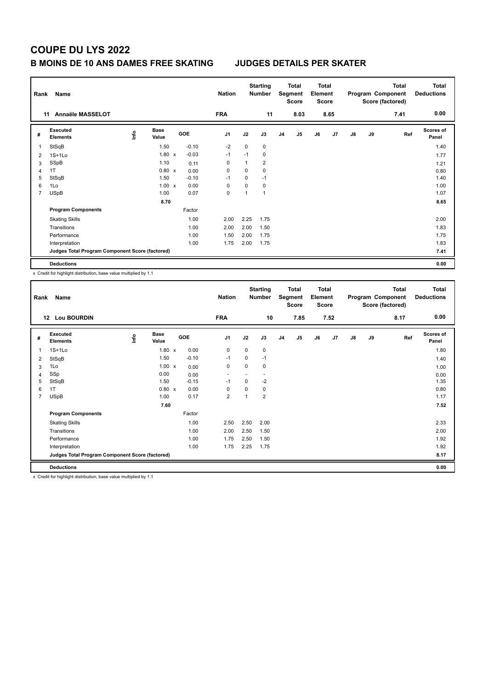## **B MOINS DE 10 ANS DAMES FREE SKATING JUDGES DETAILS PER SKATER**

| Rank           | Name                                            |       |                      |            | <b>Nation</b>  |              | <b>Starting</b><br><b>Number</b> |                | <b>Total</b><br>Segment<br><b>Score</b> | <b>Total</b><br>Element<br><b>Score</b> |      |               |    | <b>Total</b><br>Program Component<br>Score (factored) | <b>Total</b><br><b>Deductions</b> |
|----------------|-------------------------------------------------|-------|----------------------|------------|----------------|--------------|----------------------------------|----------------|-----------------------------------------|-----------------------------------------|------|---------------|----|-------------------------------------------------------|-----------------------------------|
|                | Annaële MASSELOT<br>11                          |       |                      |            | <b>FRA</b>     |              | 11                               |                | 8.03                                    |                                         | 8.65 |               |    | 7.41                                                  | 0.00                              |
| #              | Executed<br><b>Elements</b>                     | Linfo | <b>Base</b><br>Value | <b>GOE</b> | J <sub>1</sub> | J2           | J3                               | J <sub>4</sub> | J <sub>5</sub>                          | J6                                      | J7   | $\mathsf{J}8$ | J9 | Ref                                                   | <b>Scores of</b><br>Panel         |
|                | StSqB                                           |       | 1.50                 | $-0.10$    | $-2$           | 0            | 0                                |                |                                         |                                         |      |               |    |                                                       | 1.40                              |
| $\overline{2}$ | $1S+1Lo$                                        |       | $1.80 \times$        | $-0.03$    | $-1$           | $-1$         | 0                                |                |                                         |                                         |      |               |    |                                                       | 1.77                              |
| 3              | SSpB                                            |       | 1.10                 | 0.11       | 0              | $\mathbf{1}$ | $\overline{2}$                   |                |                                         |                                         |      |               |    |                                                       | 1.21                              |
| 4              | 1T                                              |       | $0.80 \times$        | 0.00       | 0              | 0            | 0                                |                |                                         |                                         |      |               |    |                                                       | 0.80                              |
| 5              | StSqB                                           |       | 1.50                 | $-0.10$    | $-1$           | 0            | $-1$                             |                |                                         |                                         |      |               |    |                                                       | 1.40                              |
| 6              | 1Lo                                             |       | $1.00 \times$        | 0.00       | 0              | 0            | 0                                |                |                                         |                                         |      |               |    |                                                       | 1.00                              |
| $\overline{7}$ | <b>USpB</b>                                     |       | 1.00                 | 0.07       | 0              | 1            | $\mathbf{1}$                     |                |                                         |                                         |      |               |    |                                                       | 1.07                              |
|                |                                                 |       | 8.70                 |            |                |              |                                  |                |                                         |                                         |      |               |    |                                                       | 8.65                              |
|                | <b>Program Components</b>                       |       |                      | Factor     |                |              |                                  |                |                                         |                                         |      |               |    |                                                       |                                   |
|                | <b>Skating Skills</b>                           |       |                      | 1.00       | 2.00           | 2.25         | 1.75                             |                |                                         |                                         |      |               |    |                                                       | 2.00                              |
|                | Transitions                                     |       |                      | 1.00       | 2.00           | 2.00         | 1.50                             |                |                                         |                                         |      |               |    |                                                       | 1.83                              |
|                | Performance                                     |       |                      | 1.00       | 1.50           | 2.00         | 1.75                             |                |                                         |                                         |      |               |    |                                                       | 1.75                              |
|                | Interpretation                                  |       |                      | 1.00       | 1.75           | 2.00         | 1.75                             |                |                                         |                                         |      |               |    |                                                       | 1.83                              |
|                | Judges Total Program Component Score (factored) |       |                      |            |                |              |                                  |                |                                         |                                         |      |               |    |                                                       | 7.41                              |
|                | <b>Deductions</b>                               |       |                      |            |                |              |                                  |                |                                         |                                         |      |               |    |                                                       | 0.00                              |

x Credit for highlight distribution, base value multiplied by 1.1

| Rank           | Name                                            |   |                      |            | <b>Nation</b>            |          | <b>Starting</b><br><b>Number</b> |                | <b>Total</b><br>Segment<br><b>Score</b> | <b>Total</b><br>Element<br><b>Score</b> |      |               |    | Total<br>Program Component<br>Score (factored) | <b>Total</b><br><b>Deductions</b> |
|----------------|-------------------------------------------------|---|----------------------|------------|--------------------------|----------|----------------------------------|----------------|-----------------------------------------|-----------------------------------------|------|---------------|----|------------------------------------------------|-----------------------------------|
| 12             | <b>Lou BOURDIN</b>                              |   |                      |            | <b>FRA</b>               |          | 10                               |                | 7.85                                    |                                         | 7.52 |               |    | 8.17                                           | 0.00                              |
| #              | Executed<br><b>Elements</b>                     | ۴ | <b>Base</b><br>Value | <b>GOE</b> | J <sub>1</sub>           | J2       | J3                               | J <sub>4</sub> | J5                                      | J6                                      | J7   | $\mathsf{J}8$ | J9 | Ref                                            | <b>Scores of</b><br>Panel         |
| 1              | $1S+1L0$                                        |   | $1.80 \times$        | 0.00       | 0                        | 0        | 0                                |                |                                         |                                         |      |               |    |                                                | 1.80                              |
| 2              | StSqB                                           |   | 1.50                 | $-0.10$    | $-1$                     | $\Omega$ | $-1$                             |                |                                         |                                         |      |               |    |                                                | 1.40                              |
| 3              | 1Lo                                             |   | $1.00 \times$        | 0.00       | 0                        | 0        | 0                                |                |                                         |                                         |      |               |    |                                                | 1.00                              |
| 4              | SSp                                             |   | 0.00                 | 0.00       | $\overline{\phantom{a}}$ |          | $\overline{\phantom{a}}$         |                |                                         |                                         |      |               |    |                                                | 0.00                              |
| 5              | StSqB                                           |   | 1.50                 | $-0.15$    | $-1$                     | 0        | $-2$                             |                |                                         |                                         |      |               |    |                                                | 1.35                              |
| 6              | 1T                                              |   | 0.80 x               | 0.00       | $\Omega$                 | $\Omega$ | 0                                |                |                                         |                                         |      |               |    |                                                | 0.80                              |
| $\overline{7}$ | <b>USpB</b>                                     |   | 1.00                 | 0.17       | $\overline{2}$           | 1        | $\overline{2}$                   |                |                                         |                                         |      |               |    |                                                | 1.17                              |
|                |                                                 |   | 7.60                 |            |                          |          |                                  |                |                                         |                                         |      |               |    |                                                | 7.52                              |
|                | <b>Program Components</b>                       |   |                      | Factor     |                          |          |                                  |                |                                         |                                         |      |               |    |                                                |                                   |
|                | <b>Skating Skills</b>                           |   |                      | 1.00       | 2.50                     | 2.50     | 2.00                             |                |                                         |                                         |      |               |    |                                                | 2.33                              |
|                | Transitions                                     |   |                      | 1.00       | 2.00                     | 2.50     | 1.50                             |                |                                         |                                         |      |               |    |                                                | 2.00                              |
|                | Performance                                     |   |                      | 1.00       | 1.75                     | 2.50     | 1.50                             |                |                                         |                                         |      |               |    |                                                | 1.92                              |
|                | Interpretation                                  |   |                      | 1.00       | 1.75                     | 2.25     | 1.75                             |                |                                         |                                         |      |               |    |                                                | 1.92                              |
|                | Judges Total Program Component Score (factored) |   |                      |            |                          |          |                                  |                |                                         |                                         |      |               |    |                                                | 8.17                              |
|                | <b>Deductions</b>                               |   |                      |            |                          |          |                                  |                |                                         |                                         |      |               |    |                                                | 0.00                              |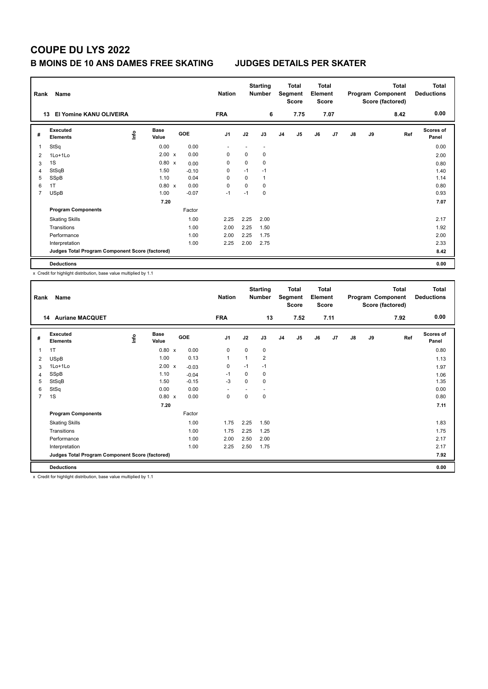## **B MOINS DE 10 ANS DAMES FREE SKATING JUDGES DETAILS PER SKATER**

| Rank           | Name                                            |      |                      |         | <b>Nation</b>  |      | <b>Starting</b><br><b>Number</b> |                | Total<br>Segment<br><b>Score</b> | <b>Total</b><br>Element<br><b>Score</b> |      |               |    | <b>Total</b><br>Program Component<br>Score (factored) | <b>Total</b><br><b>Deductions</b> |
|----------------|-------------------------------------------------|------|----------------------|---------|----------------|------|----------------------------------|----------------|----------------------------------|-----------------------------------------|------|---------------|----|-------------------------------------------------------|-----------------------------------|
|                | El Yomine KANU OLIVEIRA<br>13                   |      |                      |         | <b>FRA</b>     |      | 6                                |                | 7.75                             |                                         | 7.07 |               |    | 8.42                                                  | 0.00                              |
| #              | Executed<br><b>Elements</b>                     | lnfo | <b>Base</b><br>Value | GOE     | J <sub>1</sub> | J2   | J3                               | J <sub>4</sub> | J <sub>5</sub>                   | J6                                      | J7   | $\mathsf{J}8$ | J9 | Ref                                                   | <b>Scores of</b><br>Panel         |
|                | StSq                                            |      | 0.00                 | 0.00    | $\overline{a}$ |      | $\overline{\phantom{a}}$         |                |                                  |                                         |      |               |    |                                                       | 0.00                              |
| $\overline{2}$ | 1Lo+1Lo                                         |      | 2.00 x               | 0.00    | 0              | 0    | 0                                |                |                                  |                                         |      |               |    |                                                       | 2.00                              |
| 3              | 1S                                              |      | $0.80 \times$        | 0.00    | 0              | 0    | 0                                |                |                                  |                                         |      |               |    |                                                       | 0.80                              |
| 4              | StSqB                                           |      | 1.50                 | $-0.10$ | 0              | $-1$ | $-1$                             |                |                                  |                                         |      |               |    |                                                       | 1.40                              |
| 5              | SSpB                                            |      | 1.10                 | 0.04    | 0              | 0    | $\mathbf{1}$                     |                |                                  |                                         |      |               |    |                                                       | 1.14                              |
| 6              | 1T                                              |      | $0.80 \times$        | 0.00    | 0              | 0    | 0                                |                |                                  |                                         |      |               |    |                                                       | 0.80                              |
| $\overline{7}$ | <b>USpB</b>                                     |      | 1.00                 | $-0.07$ | $-1$           | $-1$ | $\mathbf 0$                      |                |                                  |                                         |      |               |    |                                                       | 0.93                              |
|                |                                                 |      | 7.20                 |         |                |      |                                  |                |                                  |                                         |      |               |    |                                                       | 7.07                              |
|                | <b>Program Components</b>                       |      |                      | Factor  |                |      |                                  |                |                                  |                                         |      |               |    |                                                       |                                   |
|                | <b>Skating Skills</b>                           |      |                      | 1.00    | 2.25           | 2.25 | 2.00                             |                |                                  |                                         |      |               |    |                                                       | 2.17                              |
|                | Transitions                                     |      |                      | 1.00    | 2.00           | 2.25 | 1.50                             |                |                                  |                                         |      |               |    |                                                       | 1.92                              |
|                | Performance                                     |      |                      | 1.00    | 2.00           | 2.25 | 1.75                             |                |                                  |                                         |      |               |    |                                                       | 2.00                              |
|                | Interpretation                                  |      |                      | 1.00    | 2.25           | 2.00 | 2.75                             |                |                                  |                                         |      |               |    |                                                       | 2.33                              |
|                | Judges Total Program Component Score (factored) |      |                      |         |                |      |                                  |                |                                  |                                         |      |               |    |                                                       | 8.42                              |
|                | <b>Deductions</b>                               |      |                      |         |                |      |                                  |                |                                  |                                         |      |               |    |                                                       | 0.00                              |

x Credit for highlight distribution, base value multiplied by 1.1

| Rank           | Name                                            |   |                      |            | <b>Nation</b>            |      | <b>Starting</b><br>Number |                | <b>Total</b><br>Segment<br><b>Score</b> | <b>Total</b><br>Element<br><b>Score</b> |      |               |    | <b>Total</b><br>Program Component<br>Score (factored) | Total<br><b>Deductions</b> |
|----------------|-------------------------------------------------|---|----------------------|------------|--------------------------|------|---------------------------|----------------|-----------------------------------------|-----------------------------------------|------|---------------|----|-------------------------------------------------------|----------------------------|
| 14             | <b>Auriane MACQUET</b>                          |   |                      |            | <b>FRA</b>               |      | 13                        |                | 7.52                                    |                                         | 7.11 |               |    | 7.92                                                  | 0.00                       |
| #              | Executed<br><b>Elements</b>                     | ۴ | <b>Base</b><br>Value | <b>GOE</b> | J <sub>1</sub>           | J2   | J3                        | J <sub>4</sub> | J5                                      | J6                                      | J7   | $\mathsf{J}8$ | J9 | Ref                                                   | <b>Scores of</b><br>Panel  |
| 1              | 1T                                              |   | 0.80 x               | 0.00       | 0                        | 0    | 0                         |                |                                         |                                         |      |               |    |                                                       | 0.80                       |
| 2              | <b>USpB</b>                                     |   | 1.00                 | 0.13       | $\mathbf{1}$             | 1    | $\overline{2}$            |                |                                         |                                         |      |               |    |                                                       | 1.13                       |
| 3              | 1Lo+1Lo                                         |   | 2.00 x               | $-0.03$    | 0                        | $-1$ | $-1$                      |                |                                         |                                         |      |               |    |                                                       | 1.97                       |
| 4              | SSpB                                            |   | 1.10                 | $-0.04$    | $-1$                     | 0    | 0                         |                |                                         |                                         |      |               |    |                                                       | 1.06                       |
| 5              | StSqB                                           |   | 1.50                 | $-0.15$    | $-3$                     | 0    | 0                         |                |                                         |                                         |      |               |    |                                                       | 1.35                       |
| 6              | StSq                                            |   | 0.00                 | 0.00       | $\overline{\phantom{a}}$ |      | ٠                         |                |                                         |                                         |      |               |    |                                                       | 0.00                       |
| $\overline{7}$ | 1S                                              |   | 0.80 x               | 0.00       | 0                        | 0    | 0                         |                |                                         |                                         |      |               |    |                                                       | 0.80                       |
|                |                                                 |   | 7.20                 |            |                          |      |                           |                |                                         |                                         |      |               |    |                                                       | 7.11                       |
|                | <b>Program Components</b>                       |   |                      | Factor     |                          |      |                           |                |                                         |                                         |      |               |    |                                                       |                            |
|                | <b>Skating Skills</b>                           |   |                      | 1.00       | 1.75                     | 2.25 | 1.50                      |                |                                         |                                         |      |               |    |                                                       | 1.83                       |
|                | Transitions                                     |   |                      | 1.00       | 1.75                     | 2.25 | 1.25                      |                |                                         |                                         |      |               |    |                                                       | 1.75                       |
|                | Performance                                     |   |                      | 1.00       | 2.00                     | 2.50 | 2.00                      |                |                                         |                                         |      |               |    |                                                       | 2.17                       |
|                | Interpretation                                  |   |                      | 1.00       | 2.25                     | 2.50 | 1.75                      |                |                                         |                                         |      |               |    |                                                       | 2.17                       |
|                | Judges Total Program Component Score (factored) |   |                      |            |                          |      |                           |                |                                         |                                         |      |               |    |                                                       | 7.92                       |
|                | <b>Deductions</b>                               |   |                      |            |                          |      |                           |                |                                         |                                         |      |               |    |                                                       | 0.00                       |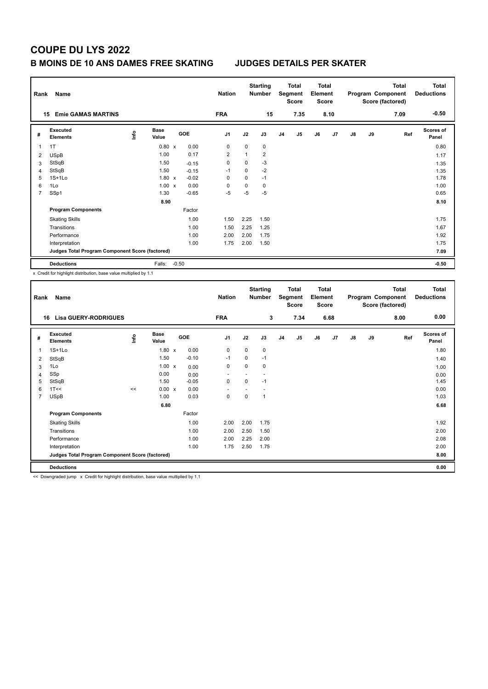## **B MOINS DE 10 ANS DAMES FREE SKATING JUDGES DETAILS PER SKATER**

|                | Rank<br>Name<br><b>Emie GAMAS MARTINS</b><br>15 |       |                      |         |            |                |              | <b>Starting</b><br><b>Number</b> |                | <b>Total</b><br>Segment<br><b>Score</b><br>7.35 |    | <b>Total</b><br>Element<br><b>Score</b><br>8.10 |    |    | Total<br>Program Component<br>Score (factored) | Total<br><b>Deductions</b><br>$-0.50$ |
|----------------|-------------------------------------------------|-------|----------------------|---------|------------|----------------|--------------|----------------------------------|----------------|-------------------------------------------------|----|-------------------------------------------------|----|----|------------------------------------------------|---------------------------------------|
|                |                                                 |       |                      |         |            | <b>FRA</b>     |              | 15                               |                |                                                 |    |                                                 |    |    | 7.09                                           |                                       |
| #              | Executed<br><b>Elements</b>                     | Linfo | <b>Base</b><br>Value |         | <b>GOE</b> | J <sub>1</sub> | J2           | J3                               | J <sub>4</sub> | J5                                              | J6 | J7                                              | J8 | J9 | Ref                                            | <b>Scores of</b><br>Panel             |
|                | 1T                                              |       | $0.80 \times$        |         | 0.00       | 0              | $\mathbf 0$  | $\mathbf 0$                      |                |                                                 |    |                                                 |    |    |                                                | 0.80                                  |
| $\overline{2}$ | <b>USpB</b>                                     |       | 1.00                 |         | 0.17       | 2              | $\mathbf{1}$ | $\overline{2}$                   |                |                                                 |    |                                                 |    |    |                                                | 1.17                                  |
| 3              | StSqB                                           |       | 1.50                 |         | $-0.15$    | 0              | 0            | -3                               |                |                                                 |    |                                                 |    |    |                                                | 1.35                                  |
| $\overline{4}$ | StSqB                                           |       | 1.50                 |         | $-0.15$    | $-1$           | $\Omega$     | $-2$                             |                |                                                 |    |                                                 |    |    |                                                | 1.35                                  |
| 5              | $1S+1Lo$                                        |       | $1.80 \times$        |         | $-0.02$    | 0              | $\mathbf 0$  | $-1$                             |                |                                                 |    |                                                 |    |    |                                                | 1.78                                  |
| 6              | 1Lo                                             |       | $1.00 \times$        |         | 0.00       | $\Omega$       | 0            | 0                                |                |                                                 |    |                                                 |    |    |                                                | 1.00                                  |
| $\overline{7}$ | SSp1                                            |       | 1.30                 |         | $-0.65$    | -5             | $-5$         | $-5$                             |                |                                                 |    |                                                 |    |    |                                                | 0.65                                  |
|                |                                                 |       | 8.90                 |         |            |                |              |                                  |                |                                                 |    |                                                 |    |    |                                                | 8.10                                  |
|                | <b>Program Components</b>                       |       |                      |         | Factor     |                |              |                                  |                |                                                 |    |                                                 |    |    |                                                |                                       |
|                | <b>Skating Skills</b>                           |       |                      |         | 1.00       | 1.50           | 2.25         | 1.50                             |                |                                                 |    |                                                 |    |    |                                                | 1.75                                  |
|                | Transitions                                     |       |                      |         | 1.00       | 1.50           | 2.25         | 1.25                             |                |                                                 |    |                                                 |    |    |                                                | 1.67                                  |
|                | Performance                                     |       |                      |         | 1.00       | 2.00           | 2.00         | 1.75                             |                |                                                 |    |                                                 |    |    |                                                | 1.92                                  |
|                | Interpretation                                  |       |                      |         | 1.00       | 1.75           | 2.00         | 1.50                             |                |                                                 |    |                                                 |    |    |                                                | 1.75                                  |
|                | Judges Total Program Component Score (factored) |       |                      |         |            |                |              |                                  |                |                                                 |    |                                                 |    |    |                                                | 7.09                                  |
|                | <b>Deductions</b>                               |       | Falls:               | $-0.50$ |            |                |              |                                  |                |                                                 |    |                                                 |    |    |                                                | $-0.50$                               |

x Credit for highlight distribution, base value multiplied by 1.1

| Rank           | Name                                            |    |                      |         | <b>Nation</b>            |          | <b>Starting</b><br><b>Number</b> |                | <b>Total</b><br>Segment<br><b>Score</b> | <b>Total</b><br>Element<br><b>Score</b> |      |               |    | <b>Total</b><br>Program Component<br>Score (factored) | <b>Total</b><br><b>Deductions</b> |
|----------------|-------------------------------------------------|----|----------------------|---------|--------------------------|----------|----------------------------------|----------------|-----------------------------------------|-----------------------------------------|------|---------------|----|-------------------------------------------------------|-----------------------------------|
| 16             | <b>Lisa GUERY-RODRIGUES</b>                     |    |                      |         | <b>FRA</b>               |          | 3                                |                | 7.34                                    |                                         | 6.68 |               |    | 8.00                                                  | 0.00                              |
| #              | Executed<br><b>Elements</b>                     | ۴  | <b>Base</b><br>Value | GOE     | J1                       | J2       | J3                               | J <sub>4</sub> | J5                                      | J6                                      | J7   | $\mathsf{J}8$ | J9 | Ref                                                   | Scores of<br>Panel                |
| 1              | $1S+1Lo$                                        |    | $1.80 \times$        | 0.00    | 0                        | 0        | 0                                |                |                                         |                                         |      |               |    |                                                       | 1.80                              |
| 2              | StSqB                                           |    | 1.50                 | $-0.10$ | $-1$                     | 0        | $-1$                             |                |                                         |                                         |      |               |    |                                                       | 1.40                              |
| 3              | 1Lo                                             |    | $1.00 \times$        | 0.00    | 0                        | $\Omega$ | 0                                |                |                                         |                                         |      |               |    |                                                       | 1.00                              |
| 4              | SSp                                             |    | 0.00                 | 0.00    | $\overline{\phantom{a}}$ |          | $\overline{\phantom{a}}$         |                |                                         |                                         |      |               |    |                                                       | 0.00                              |
| 5              | StSqB                                           |    | 1.50                 | $-0.05$ | $\mathbf 0$              | $\Omega$ | $-1$                             |                |                                         |                                         |      |               |    |                                                       | 1.45                              |
| 6              | 1T<<                                            | << | 0.00 x               | 0.00    | $\overline{\phantom{a}}$ |          |                                  |                |                                         |                                         |      |               |    |                                                       | 0.00                              |
| $\overline{7}$ | <b>USpB</b>                                     |    | 1.00                 | 0.03    | 0                        | $\Omega$ | 1                                |                |                                         |                                         |      |               |    |                                                       | 1.03                              |
|                |                                                 |    | 6.80                 |         |                          |          |                                  |                |                                         |                                         |      |               |    |                                                       | 6.68                              |
|                | <b>Program Components</b>                       |    |                      | Factor  |                          |          |                                  |                |                                         |                                         |      |               |    |                                                       |                                   |
|                | <b>Skating Skills</b>                           |    |                      | 1.00    | 2.00                     | 2.00     | 1.75                             |                |                                         |                                         |      |               |    |                                                       | 1.92                              |
|                | Transitions                                     |    |                      | 1.00    | 2.00                     | 2.50     | 1.50                             |                |                                         |                                         |      |               |    |                                                       | 2.00                              |
|                | Performance                                     |    |                      | 1.00    | 2.00                     | 2.25     | 2.00                             |                |                                         |                                         |      |               |    |                                                       | 2.08                              |
|                | Interpretation                                  |    |                      | 1.00    | 1.75                     | 2.50     | 1.75                             |                |                                         |                                         |      |               |    |                                                       | 2.00                              |
|                | Judges Total Program Component Score (factored) |    |                      |         |                          |          |                                  |                |                                         |                                         |      |               |    |                                                       | 8.00                              |
|                | <b>Deductions</b>                               |    |                      |         |                          |          |                                  |                |                                         |                                         |      |               |    |                                                       | 0.00                              |

<< Downgraded jump x Credit for highlight distribution, base value multiplied by 1.1